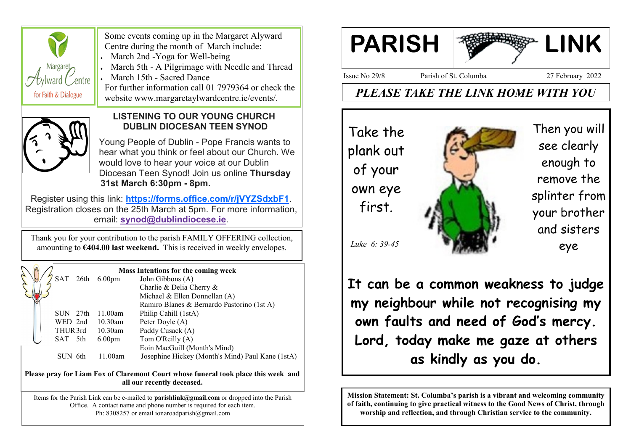

 Some events coming up in the Margaret Alyward Centre during the month of March include:

March 2nd -Yoga for Well-being

March 5th - A Pilgrimage with Needle and Thread

March 15th - Sacred Dance

 For further information call 01 7979364 or check the website www.margaretaylwardcentre.ie/events/.



# **LISTENING TO OUR YOUNG CHURCH DUBLIN DIOCESAN TEEN SYNOD**

 Young People of Dublin - Pope Francis wants to hear what you think or feel about our Church. We would love to hear your voice at our Dublin Diocesan Teen Synod! Join us online **Thursday 31st March 6:30pm - 8pm.**

Register using this link: **<https://forms.office.com/r/jVYZSdxbF1>**. Registration closes on the 25th March at 5pm. For more information, email: **[synod@dublindiocese.ie](mailto:synod@dublindiocese.ie)**.

Thank you for your contribution to the parish FAMILY OFFERING collection, amounting to **€404.00 last weekend.** This is received in weekly envelopes.

|         |      |                    | <b>Mass Intentions for the coming week</b>       |
|---------|------|--------------------|--------------------------------------------------|
|         |      | SAT 26th 6.00pm    | John Gibbons (A)                                 |
|         |      |                    | Charlie & Delia Cherry &                         |
|         |      |                    | Michael & Ellen Donnellan $(A)$                  |
|         |      |                    | Ramiro Blanes & Bernardo Pastorino (1st A)       |
| SUN.    | 27th | 11.00am            | Philip Cahill (1stA)                             |
| WED 2nd |      | $10.30$ am         | Peter Doyle (A)                                  |
| THUR3rd |      | $10.30$ am         | Paddy Cusack (A)                                 |
| SAT 5th |      | 6.00 <sub>pm</sub> | Tom O'Reilly (A)                                 |
|         |      |                    | Eoin MacGuill (Month's Mind)                     |
| SUN 6th |      | 11.00am            | Josephine Hickey (Month's Mind) Paul Kane (1stA) |
|         |      |                    |                                                  |

**Please pray for Liam Fox of Claremont Court whose funeral took place this week and all our recently deceased.**

Items for the Parish Link can be e-mailed to **parishlink@gmail.com** or dropped into the Parish Office. A contact name and phone number is required for each item. Ph: 8308257 or email ionaroadparish@gmail.com



Issue No 29/8 Parish of St. Columba 27 February 2022

# *PLEASE TAKE THE LINK HOME WITH YOU*

Take the plank out of your own eye first.



Then you will see clearly enough to remove the splinter from your brother and sisters eye

*Luke 6: 39-45*

**It can be a common weakness to judge my neighbour while not recognising my own faults and need of God's mercy. Lord, today make me gaze at others as kindly as you do.**

**Mission Statement: St. Columba's parish is a vibrant and welcoming community of faith, continuing to give practical witness to the Good News of Christ, through worship and reflection, and through Christian service to the community.**